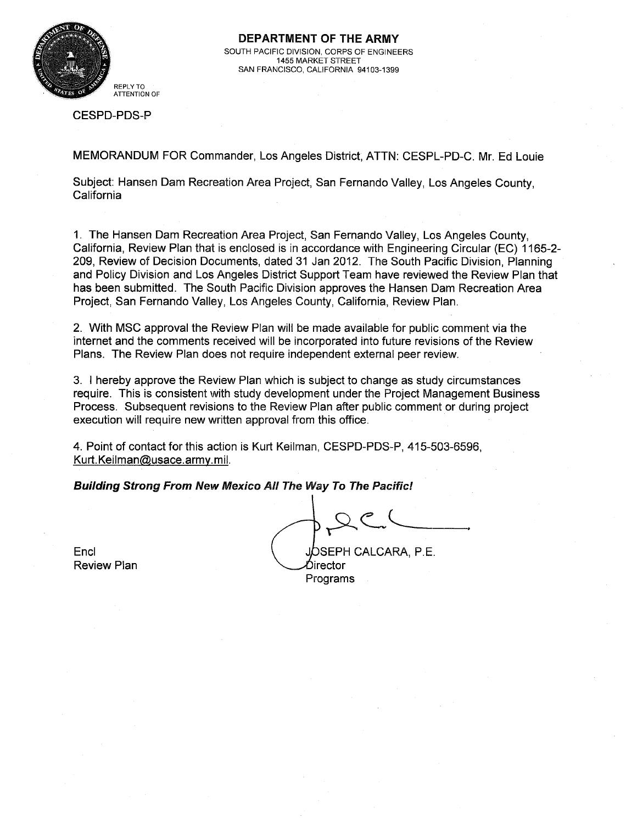

DEPARTMENT OF THE ARMY SOUTH PACIFIC DIVISION, CORPS OF ENGINEERS 1455 MARKET STREET SAN FRANCISCO, CALIFORNIA 94103-1399

CESPD-PDS-P

MEMORANDUM FOR Commander, Los Angeles District, ATTN: CESPL-PD-C. Mr. Ed Louie

Subject: Hansen Dam Recreation Area Project, San Fernando Valley, Los Angeles County, California

1. The Hansen Dam Recreation Area Project, San Fernando Valley, Los Angeles County, California, Review Plan that is enclosed is in accordance with Engineering Circular (EC) 1165-2- 209, Review of Decision Documents, dated 31 Jan 2012. The South Pacific Division, Planning and Policy Division and Los Angeles District Support Team have reviewed the Review Plan that has been submitted. The South Pacific Division approves the Hansen Dam Recreation Area Project, San Fernando Valley, Los Angeles County, California, Review Plan.

2. With MSC approval the Review Plan will be made available for public comment via the internet and the comments received will be incorporated into future revisions of the Review Plans. The Review Plan does not require independent external peer review.

3. I hereby approve the Review Plan which is subject to change as study circumstances require. This is consistent with study development under the Project Management Business Process. Subsequent revisions to the Review Plan after public comment or during project execution will require new written approval from this office.

4. Point of contact for this action is Kurt Keilman, CESPD-PDS-P, 415-503-6596, Kurt. Keilman@usace.army.mil.

Building Strong From New Mexico All The *Way* To The Pacific!

Encl Separate Separate CALCARA, P.E. birector Programs

Review Plan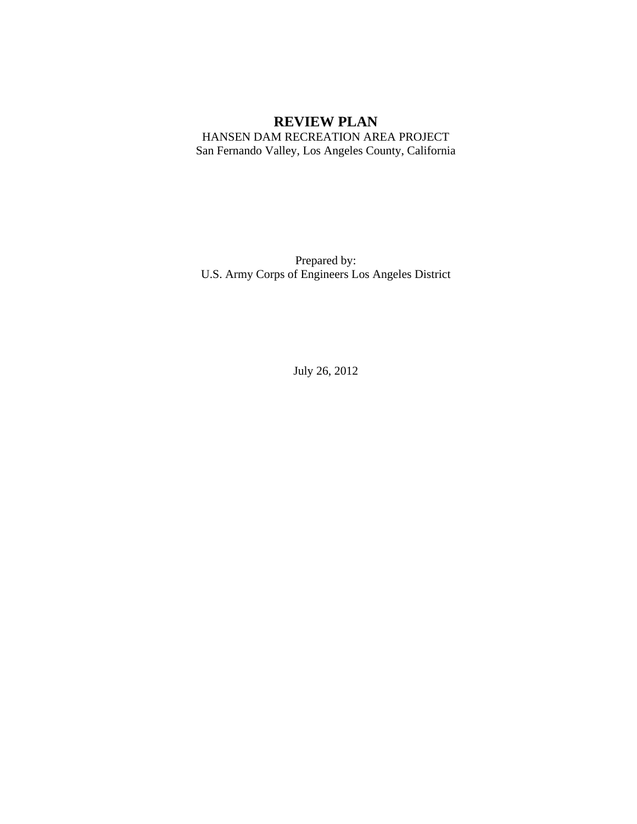# **REVIEW PLAN**

HANSEN DAM RECREATION AREA PROJECT San Fernando Valley, Los Angeles County, California

Prepared by: U.S. Army Corps of Engineers Los Angeles District

July 26, 2012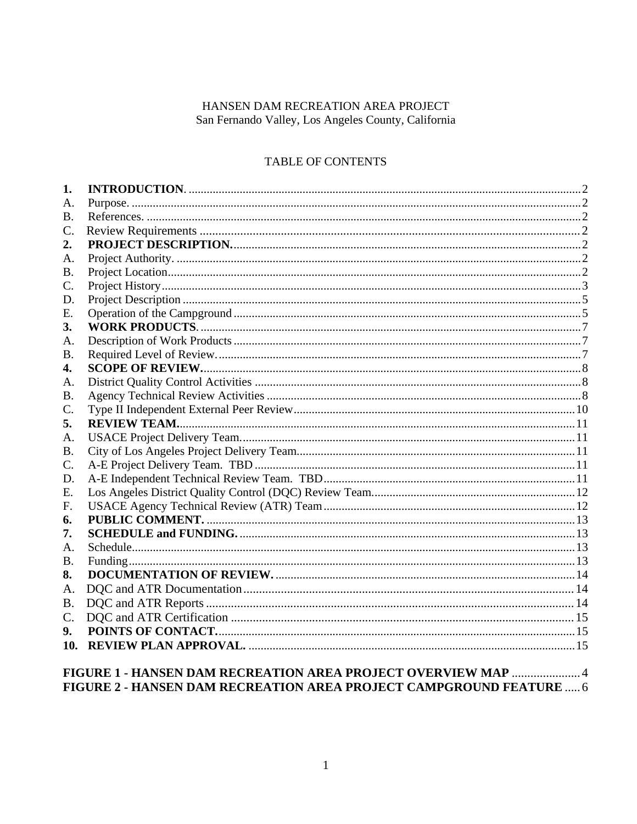### HANSEN DAM RECREATION AREA PROJECT San Fernando Valley, Los Angeles County, California

## TABLE OF CONTENTS

| 1.             |                                                            |  |
|----------------|------------------------------------------------------------|--|
| A.             |                                                            |  |
| <b>B.</b>      |                                                            |  |
| C.             |                                                            |  |
| 2.             |                                                            |  |
| A.             |                                                            |  |
| <b>B.</b>      |                                                            |  |
| C.             |                                                            |  |
| D.             |                                                            |  |
| Ε.             |                                                            |  |
| <b>3.</b>      |                                                            |  |
| A.             |                                                            |  |
| <b>B.</b>      |                                                            |  |
| 4.             |                                                            |  |
| A.             |                                                            |  |
| <b>B.</b>      |                                                            |  |
| C.             |                                                            |  |
| 5.             |                                                            |  |
| A.             |                                                            |  |
| <b>B.</b>      |                                                            |  |
| C.             |                                                            |  |
| D.             |                                                            |  |
| Ε.             |                                                            |  |
| F.             |                                                            |  |
| 6.             |                                                            |  |
| 7.             |                                                            |  |
| A.             |                                                            |  |
| <b>B.</b>      |                                                            |  |
| 8.             |                                                            |  |
| A.             |                                                            |  |
| <b>B.</b>      |                                                            |  |
| C.             |                                                            |  |
| 9 <sub>r</sub> |                                                            |  |
| 10.            |                                                            |  |
|                | FIGURE 1 - HANSEN DAM RECREATION AREA PROJECT OVERVIEW MAP |  |

FIGURE 2 - HANSEN DAM RECREATION AREA PROJECT CAMPGROUND FEATURE ..... 6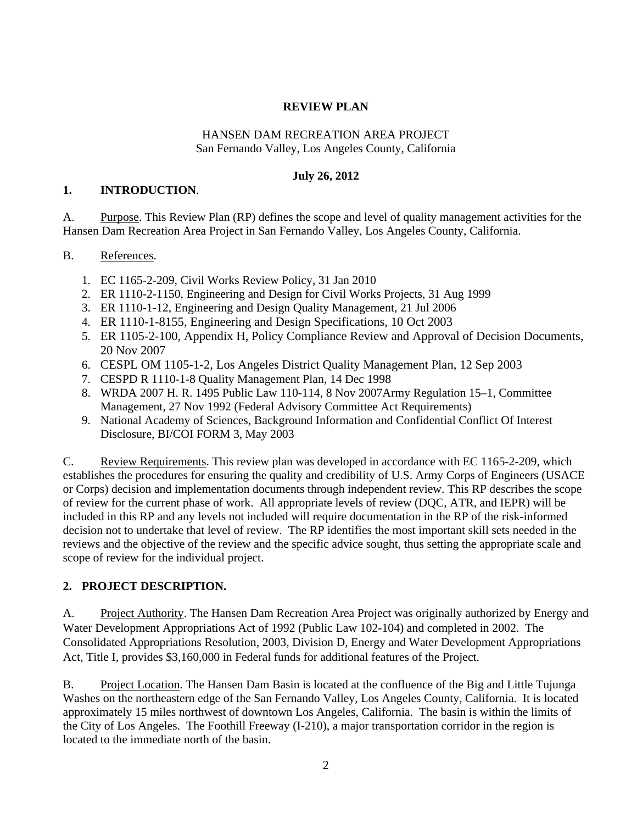## **REVIEW PLAN**

#### HANSEN DAM RECREATION AREA PROJECT San Fernando Valley, Los Angeles County, California

## **July 26, 2012**

#### **1. INTRODUCTION**.

A. Purpose. This Review Plan (RP) defines the scope and level of quality management activities for the Hansen Dam Recreation Area Project in San Fernando Valley, Los Angeles County, California.

### B. References.

- 1. EC 1165-2-209, Civil Works Review Policy, 31 Jan 2010
- 2. ER 1110-2-1150, Engineering and Design for Civil Works Projects, 31 Aug 1999
- 3. ER 1110-1-12, Engineering and Design Quality Management, 21 Jul 2006
- 4. ER 1110-1-8155, Engineering and Design Specifications, 10 Oct 2003
- 5. ER 1105-2-100, Appendix H, Policy Compliance Review and Approval of Decision Documents, 20 Nov 2007
- 6. CESPL OM 1105-1-2, Los Angeles District Quality Management Plan, 12 Sep 2003
- 7. CESPD R 1110-1-8 Quality Management Plan, 14 Dec 1998
- 8. WRDA 2007 H. R. 1495 Public Law 110-114, 8 Nov 2007Army Regulation 15–1, Committee Management, 27 Nov 1992 (Federal Advisory Committee Act Requirements)
- 9. National Academy of Sciences, Background Information and Confidential Conflict Of Interest Disclosure, BI/COI FORM 3, May 2003

C. Review Requirements. This review plan was developed in accordance with EC 1165-2-209, which establishes the procedures for ensuring the quality and credibility of U.S. Army Corps of Engineers (USACE or Corps) decision and implementation documents through independent review. This RP describes the scope of review for the current phase of work. All appropriate levels of review (DQC, ATR, and IEPR) will be included in this RP and any levels not included will require documentation in the RP of the risk-informed decision not to undertake that level of review. The RP identifies the most important skill sets needed in the reviews and the objective of the review and the specific advice sought, thus setting the appropriate scale and scope of review for the individual project.

## **2. PROJECT DESCRIPTION.**

A. Project Authority. The Hansen Dam Recreation Area Project was originally authorized by Energy and Water Development Appropriations Act of 1992 (Public Law 102-104) and completed in 2002. The Consolidated Appropriations Resolution, 2003, Division D, Energy and Water Development Appropriations Act, Title I, provides \$3,160,000 in Federal funds for additional features of the Project.

B. Project Location. The Hansen Dam Basin is located at the confluence of the Big and Little Tujunga Washes on the northeastern edge of the San Fernando Valley, Los Angeles County, California. It is located approximately 15 miles northwest of downtown Los Angeles, California. The basin is within the limits of the City of Los Angeles. The Foothill Freeway (I-210), a major transportation corridor in the region is located to the immediate north of the basin.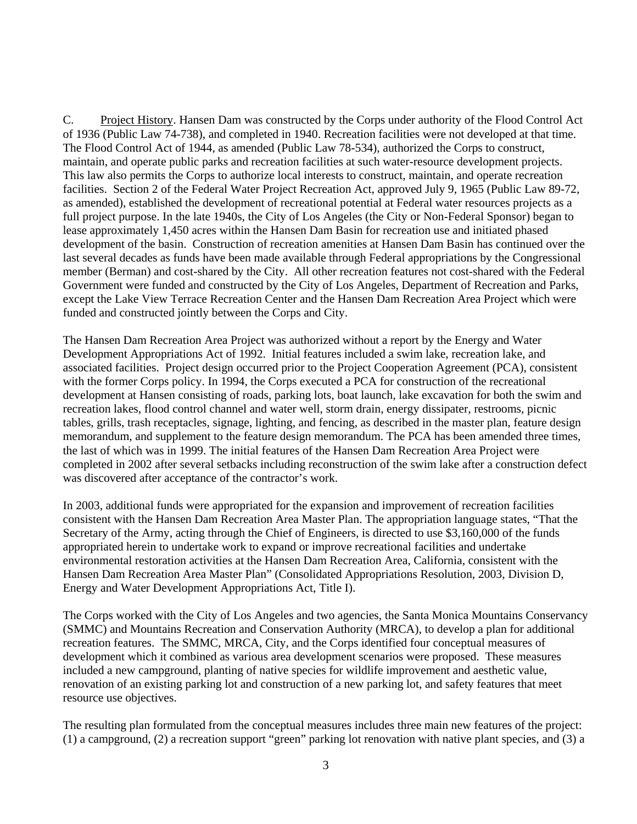C. Project History. Hansen Dam was constructed by the Corps under authority of the Flood Control Act of 1936 (Public Law 74-738), and completed in 1940. Recreation facilities were not developed at that time. The Flood Control Act of 1944, as amended (Public Law 78-534), authorized the Corps to construct, maintain, and operate public parks and recreation facilities at such water-resource development projects. This law also permits the Corps to authorize local interests to construct, maintain, and operate recreation facilities. Section 2 of the Federal Water Project Recreation Act, approved July 9, 1965 (Public Law 89-72, as amended), established the development of recreational potential at Federal water resources projects as a full project purpose. In the late 1940s, the City of Los Angeles (the City or Non-Federal Sponsor) began to lease approximately 1,450 acres within the Hansen Dam Basin for recreation use and initiated phased development of the basin. Construction of recreation amenities at Hansen Dam Basin has continued over the last several decades as funds have been made available through Federal appropriations by the Congressional member (Berman) and cost-shared by the City. All other recreation features not cost-shared with the Federal Government were funded and constructed by the City of Los Angeles, Department of Recreation and Parks, except the Lake View Terrace Recreation Center and the Hansen Dam Recreation Area Project which were funded and constructed jointly between the Corps and City.

The Hansen Dam Recreation Area Project was authorized without a report by the Energy and Water Development Appropriations Act of 1992. Initial features included a swim lake, recreation lake, and associated facilities. Project design occurred prior to the Project Cooperation Agreement (PCA), consistent with the former Corps policy. In 1994, the Corps executed a PCA for construction of the recreational development at Hansen consisting of roads, parking lots, boat launch, lake excavation for both the swim and recreation lakes, flood control channel and water well, storm drain, energy dissipater, restrooms, picnic tables, grills, trash receptacles, signage, lighting, and fencing, as described in the master plan, feature design memorandum, and supplement to the feature design memorandum. The PCA has been amended three times, the last of which was in 1999. The initial features of the Hansen Dam Recreation Area Project were completed in 2002 after several setbacks including reconstruction of the swim lake after a construction defect was discovered after acceptance of the contractor's work.

In 2003, additional funds were appropriated for the expansion and improvement of recreation facilities consistent with the Hansen Dam Recreation Area Master Plan. The appropriation language states, "That the Secretary of the Army, acting through the Chief of Engineers, is directed to use \$3,160,000 of the funds appropriated herein to undertake work to expand or improve recreational facilities and undertake environmental restoration activities at the Hansen Dam Recreation Area, California, consistent with the Hansen Dam Recreation Area Master Plan" (Consolidated Appropriations Resolution, 2003, Division D, Energy and Water Development Appropriations Act, Title I).

The Corps worked with the City of Los Angeles and two agencies, the Santa Monica Mountains Conservancy (SMMC) and Mountains Recreation and Conservation Authority (MRCA), to develop a plan for additional recreation features. The SMMC, MRCA, City, and the Corps identified four conceptual measures of development which it combined as various area development scenarios were proposed. These measures included a new campground, planting of native species for wildlife improvement and aesthetic value, renovation of an existing parking lot and construction of a new parking lot, and safety features that meet resource use objectives.

The resulting plan formulated from the conceptual measures includes three main new features of the project: (1) a campground, (2) a recreation support "green" parking lot renovation with native plant species, and (3) a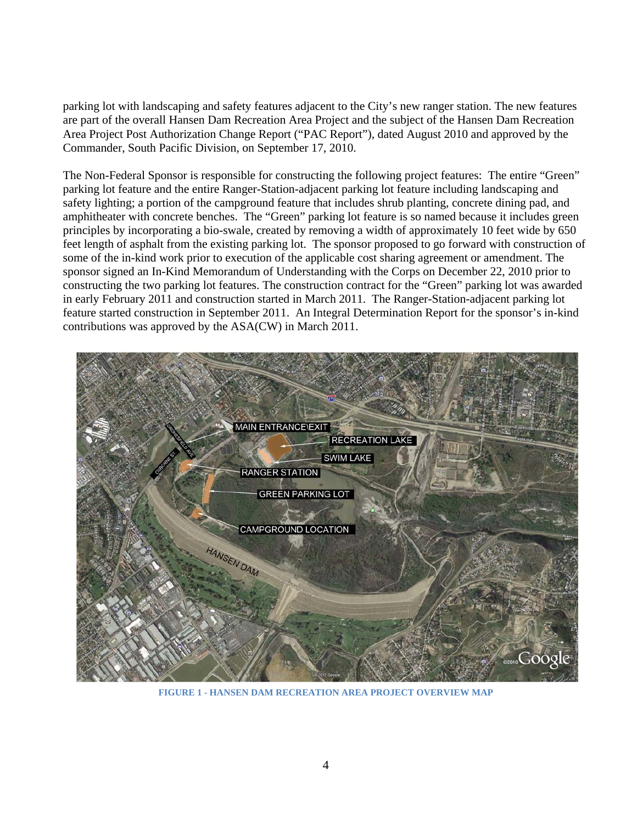parking lot with landscaping and safety features adjacent to the City's new ranger station. The new features are part of the overall Hansen Dam Recreation Area Project and the subject of the Hansen Dam Recreation Area Project Post Authorization Change Report ("PAC Report"), dated August 2010 and approved by the Commander, South Pacific Division, on September 17, 2010.

The Non-Federal Sponsor is responsible for constructing the following project features: The entire "Green" parking lot feature and the entire Ranger-Station-adjacent parking lot feature including landscaping and safety lighting; a portion of the campground feature that includes shrub planting, concrete dining pad, and amphitheater with concrete benches. The "Green" parking lot feature is so named because it includes green principles by incorporating a bio-swale, created by removing a width of approximately 10 feet wide by 650 feet length of asphalt from the existing parking lot. The sponsor proposed to go forward with construction of some of the in-kind work prior to execution of the applicable cost sharing agreement or amendment. The sponsor signed an In-Kind Memorandum of Understanding with the Corps on December 22, 2010 prior to constructing the two parking lot features. The construction contract for the "Green" parking lot was awarded in early February 2011 and construction started in March 2011. The Ranger-Station-adjacent parking lot feature started construction in September 2011. An Integral Determination Report for the sponsor's in-kind contributions was approved by the ASA(CW) in March 2011.



**FIGURE 1 - HANSEN DAM RECREATION AREA PROJECT OVERVIEW MAP**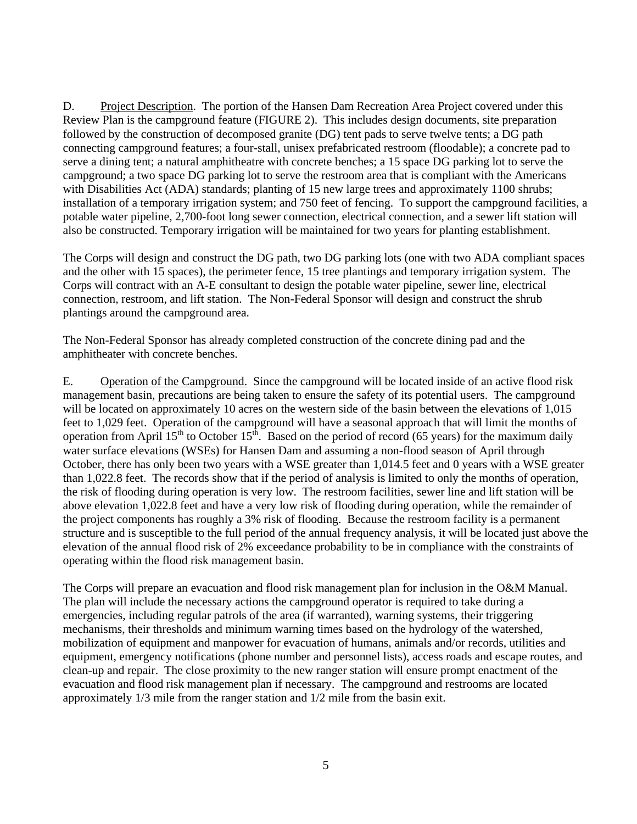D. Project Description. The portion of the Hansen Dam Recreation Area Project covered under this Review Plan is the campground feature (FIGURE 2). This includes design documents, site preparation followed by the construction of decomposed granite (DG) tent pads to serve twelve tents; a DG path connecting campground features; a four-stall, unisex prefabricated restroom (floodable); a concrete pad to serve a dining tent; a natural amphitheatre with concrete benches; a 15 space DG parking lot to serve the campground; a two space DG parking lot to serve the restroom area that is compliant with the Americans with Disabilities Act (ADA) standards; planting of 15 new large trees and approximately 1100 shrubs; installation of a temporary irrigation system; and 750 feet of fencing. To support the campground facilities, a potable water pipeline, 2,700-foot long sewer connection, electrical connection, and a sewer lift station will also be constructed. Temporary irrigation will be maintained for two years for planting establishment.

The Corps will design and construct the DG path, two DG parking lots (one with two ADA compliant spaces and the other with 15 spaces), the perimeter fence, 15 tree plantings and temporary irrigation system. The Corps will contract with an A-E consultant to design the potable water pipeline, sewer line, electrical connection, restroom, and lift station. The Non-Federal Sponsor will design and construct the shrub plantings around the campground area.

The Non-Federal Sponsor has already completed construction of the concrete dining pad and the amphitheater with concrete benches.

E. Operation of the Campground. Since the campground will be located inside of an active flood risk management basin, precautions are being taken to ensure the safety of its potential users. The campground will be located on approximately 10 acres on the western side of the basin between the elevations of 1,015 feet to 1,029 feet. Operation of the campground will have a seasonal approach that will limit the months of operation from April  $15^{th}$  to October  $15^{th}$ . Based on the period of record (65 years) for the maximum daily water surface elevations (WSEs) for Hansen Dam and assuming a non-flood season of April through October, there has only been two years with a WSE greater than 1,014.5 feet and 0 years with a WSE greater than 1,022.8 feet. The records show that if the period of analysis is limited to only the months of operation, the risk of flooding during operation is very low. The restroom facilities, sewer line and lift station will be above elevation 1,022.8 feet and have a very low risk of flooding during operation, while the remainder of the project components has roughly a 3% risk of flooding. Because the restroom facility is a permanent structure and is susceptible to the full period of the annual frequency analysis, it will be located just above the elevation of the annual flood risk of 2% exceedance probability to be in compliance with the constraints of operating within the flood risk management basin.

The Corps will prepare an evacuation and flood risk management plan for inclusion in the O&M Manual. The plan will include the necessary actions the campground operator is required to take during a emergencies, including regular patrols of the area (if warranted), warning systems, their triggering mechanisms, their thresholds and minimum warning times based on the hydrology of the watershed, mobilization of equipment and manpower for evacuation of humans, animals and/or records, utilities and equipment, emergency notifications (phone number and personnel lists), access roads and escape routes, and clean-up and repair. The close proximity to the new ranger station will ensure prompt enactment of the evacuation and flood risk management plan if necessary. The campground and restrooms are located approximately 1/3 mile from the ranger station and 1/2 mile from the basin exit.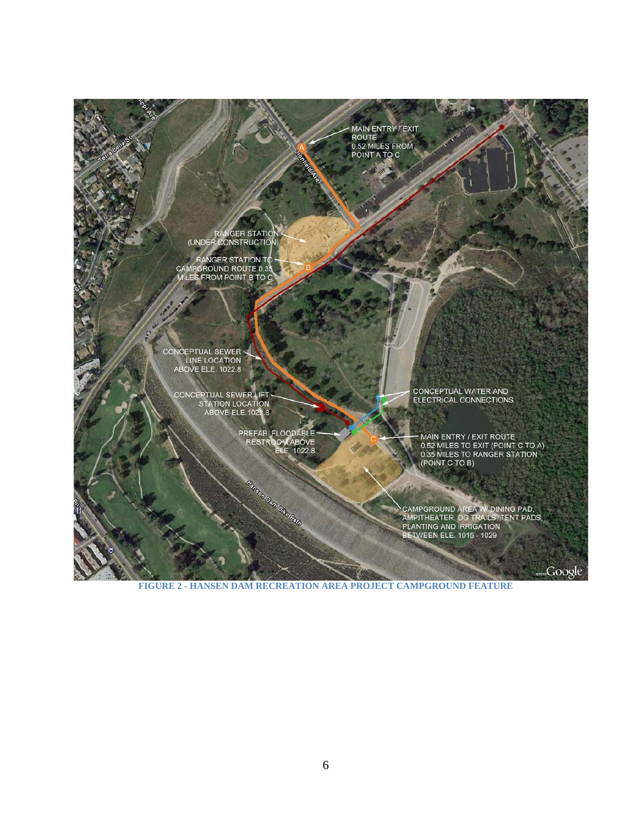

**FIGURE 2 - HANSEN DAM RECREATION AREA PROJECT CAMPGROUND FEATURE**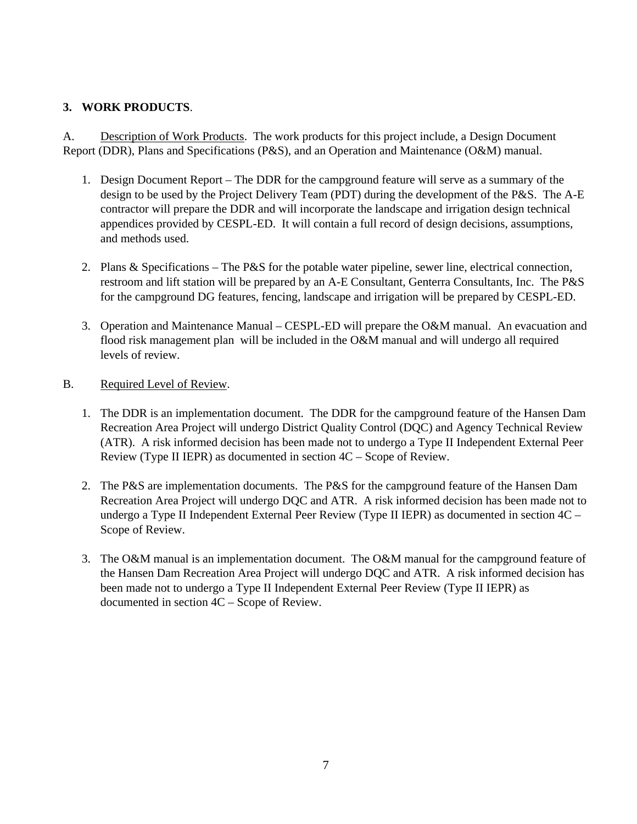## **3. WORK PRODUCTS**.

A. Description of Work Products. The work products for this project include, a Design Document Report (DDR), Plans and Specifications (P&S), and an Operation and Maintenance (O&M) manual.

- 1. Design Document Report The DDR for the campground feature will serve as a summary of the design to be used by the Project Delivery Team (PDT) during the development of the P&S. The A-E contractor will prepare the DDR and will incorporate the landscape and irrigation design technical appendices provided by CESPL-ED. It will contain a full record of design decisions, assumptions, and methods used.
- 2. Plans & Specifications The P&S for the potable water pipeline, sewer line, electrical connection, restroom and lift station will be prepared by an A-E Consultant, Genterra Consultants, Inc. The P&S for the campground DG features, fencing, landscape and irrigation will be prepared by CESPL-ED.
- 3. Operation and Maintenance Manual CESPL-ED will prepare the O&M manual. An evacuation and flood risk management plan will be included in the O&M manual and will undergo all required levels of review.
- B. Required Level of Review.
	- 1. The DDR is an implementation document. The DDR for the campground feature of the Hansen Dam Recreation Area Project will undergo District Quality Control (DQC) and Agency Technical Review (ATR). A risk informed decision has been made not to undergo a Type II Independent External Peer Review (Type II IEPR) as documented in section 4C – Scope of Review.
	- 2. The P&S are implementation documents. The P&S for the campground feature of the Hansen Dam Recreation Area Project will undergo DQC and ATR. A risk informed decision has been made not to undergo a Type II Independent External Peer Review (Type II IEPR) as documented in section 4C – Scope of Review.
	- 3. The O&M manual is an implementation document. The O&M manual for the campground feature of the Hansen Dam Recreation Area Project will undergo DQC and ATR. A risk informed decision has been made not to undergo a Type II Independent External Peer Review (Type II IEPR) as documented in section 4C – Scope of Review.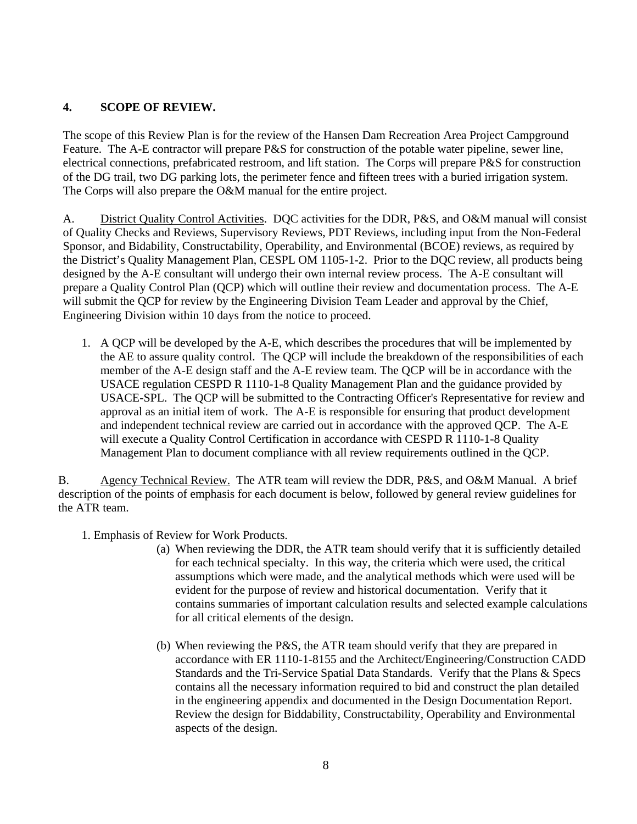## **4. SCOPE OF REVIEW.**

The scope of this Review Plan is for the review of the Hansen Dam Recreation Area Project Campground Feature. The A-E contractor will prepare P&S for construction of the potable water pipeline, sewer line, electrical connections, prefabricated restroom, and lift station. The Corps will prepare P&S for construction of the DG trail, two DG parking lots, the perimeter fence and fifteen trees with a buried irrigation system. The Corps will also prepare the O&M manual for the entire project.

A. District Quality Control Activities. DQC activities for the DDR, P&S, and O&M manual will consist of Quality Checks and Reviews, Supervisory Reviews, PDT Reviews, including input from the Non-Federal Sponsor, and Bidability, Constructability, Operability, and Environmental (BCOE) reviews, as required by the District's Quality Management Plan, CESPL OM 1105-1-2. Prior to the DQC review, all products being designed by the A-E consultant will undergo their own internal review process. The A-E consultant will prepare a Quality Control Plan (QCP) which will outline their review and documentation process. The A-E will submit the OCP for review by the Engineering Division Team Leader and approval by the Chief, Engineering Division within 10 days from the notice to proceed.

1. A QCP will be developed by the A-E, which describes the procedures that will be implemented by the AE to assure quality control. The QCP will include the breakdown of the responsibilities of each member of the A-E design staff and the A-E review team. The QCP will be in accordance with the USACE regulation CESPD R 1110-1-8 Quality Management Plan and the guidance provided by USACE-SPL. The QCP will be submitted to the Contracting Officer's Representative for review and approval as an initial item of work. The A-E is responsible for ensuring that product development and independent technical review are carried out in accordance with the approved QCP. The A-E will execute a Quality Control Certification in accordance with CESPD R 1110-1-8 Quality Management Plan to document compliance with all review requirements outlined in the QCP.

B. Agency Technical Review. The ATR team will review the DDR, P&S, and O&M Manual. A brief description of the points of emphasis for each document is below, followed by general review guidelines for the ATR team.

- 1. Emphasis of Review for Work Products.
	- (a) When reviewing the DDR, the ATR team should verify that it is sufficiently detailed for each technical specialty. In this way, the criteria which were used, the critical assumptions which were made, and the analytical methods which were used will be evident for the purpose of review and historical documentation. Verify that it contains summaries of important calculation results and selected example calculations for all critical elements of the design.
	- (b) When reviewing the P&S, the ATR team should verify that they are prepared in accordance with ER 1110-1-8155 and the Architect/Engineering/Construction CADD Standards and the Tri-Service Spatial Data Standards. Verify that the Plans & Specs contains all the necessary information required to bid and construct the plan detailed in the engineering appendix and documented in the Design Documentation Report. Review the design for Biddability, Constructability, Operability and Environmental aspects of the design.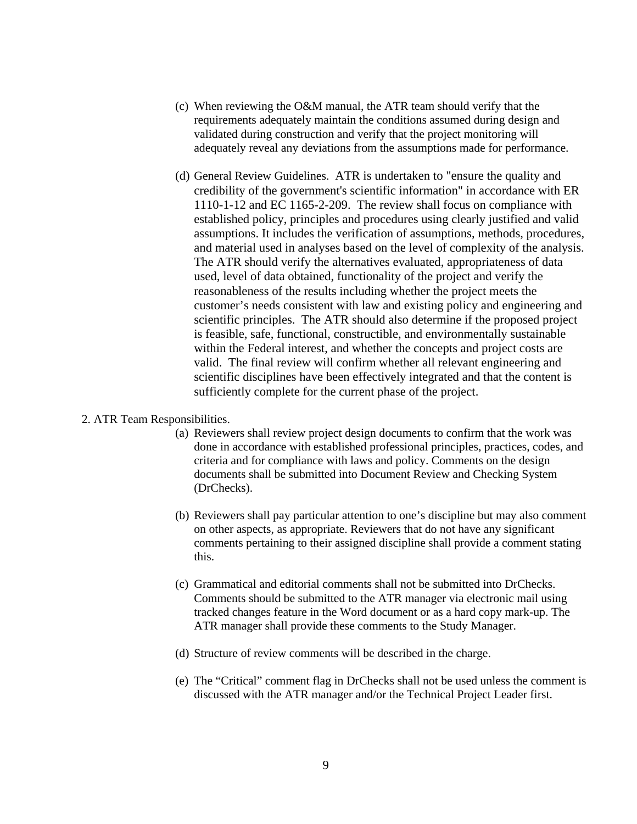- (c) When reviewing the O&M manual, the ATR team should verify that the requirements adequately maintain the conditions assumed during design and validated during construction and verify that the project monitoring will adequately reveal any deviations from the assumptions made for performance.
- (d) General Review Guidelines. ATR is undertaken to "ensure the quality and credibility of the government's scientific information" in accordance with ER 1110-1-12 and EC 1165-2-209. The review shall focus on compliance with established policy, principles and procedures using clearly justified and valid assumptions. It includes the verification of assumptions, methods, procedures, and material used in analyses based on the level of complexity of the analysis. The ATR should verify the alternatives evaluated, appropriateness of data used, level of data obtained, functionality of the project and verify the reasonableness of the results including whether the project meets the customer's needs consistent with law and existing policy and engineering and scientific principles. The ATR should also determine if the proposed project is feasible, safe, functional, constructible, and environmentally sustainable within the Federal interest, and whether the concepts and project costs are valid. The final review will confirm whether all relevant engineering and scientific disciplines have been effectively integrated and that the content is sufficiently complete for the current phase of the project.

#### 2. ATR Team Responsibilities.

- (a) Reviewers shall review project design documents to confirm that the work was done in accordance with established professional principles, practices, codes, and criteria and for compliance with laws and policy. Comments on the design documents shall be submitted into Document Review and Checking System (DrChecks).
- (b) Reviewers shall pay particular attention to one's discipline but may also comment on other aspects, as appropriate. Reviewers that do not have any significant comments pertaining to their assigned discipline shall provide a comment stating this.
- (c) Grammatical and editorial comments shall not be submitted into DrChecks. Comments should be submitted to the ATR manager via electronic mail using tracked changes feature in the Word document or as a hard copy mark-up. The ATR manager shall provide these comments to the Study Manager.
- (d) Structure of review comments will be described in the charge.
- (e) The "Critical" comment flag in DrChecks shall not be used unless the comment is discussed with the ATR manager and/or the Technical Project Leader first.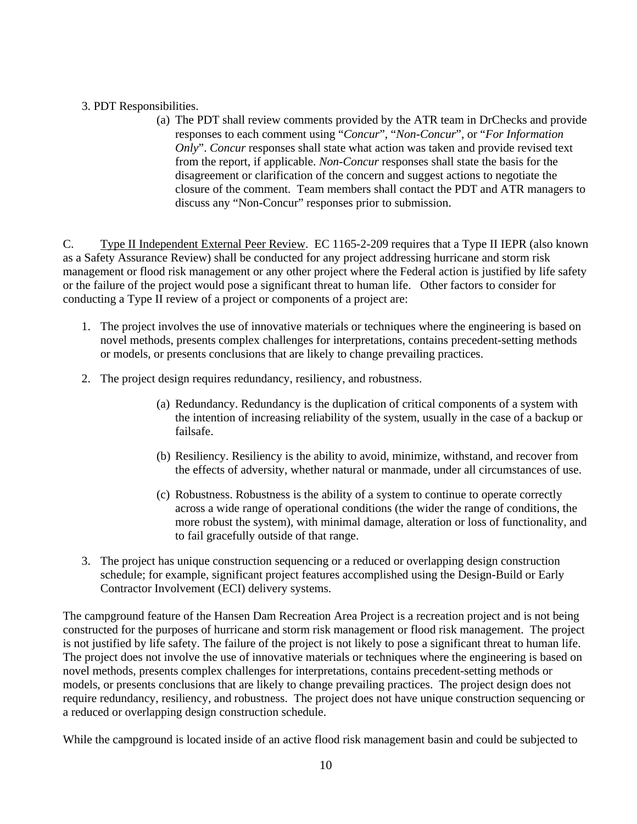## 3. PDT Responsibilities.

(a) The PDT shall review comments provided by the ATR team in DrChecks and provide responses to each comment using "*Concur*", "*Non-Concur*", or "*For Information Only*". *Concur* responses shall state what action was taken and provide revised text from the report, if applicable. *Non-Concur* responses shall state the basis for the disagreement or clarification of the concern and suggest actions to negotiate the closure of the comment. Team members shall contact the PDT and ATR managers to discuss any "Non-Concur" responses prior to submission.

C. Type II Independent External Peer Review. EC 1165-2-209 requires that a Type II IEPR (also known as a Safety Assurance Review) shall be conducted for any project addressing hurricane and storm risk management or flood risk management or any other project where the Federal action is justified by life safety or the failure of the project would pose a significant threat to human life. Other factors to consider for conducting a Type II review of a project or components of a project are:

- 1. The project involves the use of innovative materials or techniques where the engineering is based on novel methods, presents complex challenges for interpretations, contains precedent-setting methods or models, or presents conclusions that are likely to change prevailing practices.
- 2. The project design requires redundancy, resiliency, and robustness.
	- (a) Redundancy. Redundancy is the duplication of critical components of a system with the intention of increasing reliability of the system, usually in the case of a backup or failsafe.
	- (b) Resiliency. Resiliency is the ability to avoid, minimize, withstand, and recover from the effects of adversity, whether natural or manmade, under all circumstances of use.
	- (c) Robustness. Robustness is the ability of a system to continue to operate correctly across a wide range of operational conditions (the wider the range of conditions, the more robust the system), with minimal damage, alteration or loss of functionality, and to fail gracefully outside of that range.
- 3. The project has unique construction sequencing or a reduced or overlapping design construction schedule; for example, significant project features accomplished using the Design-Build or Early Contractor Involvement (ECI) delivery systems.

The campground feature of the Hansen Dam Recreation Area Project is a recreation project and is not being constructed for the purposes of hurricane and storm risk management or flood risk management. The project is not justified by life safety. The failure of the project is not likely to pose a significant threat to human life. The project does not involve the use of innovative materials or techniques where the engineering is based on novel methods, presents complex challenges for interpretations, contains precedent-setting methods or models, or presents conclusions that are likely to change prevailing practices. The project design does not require redundancy, resiliency, and robustness. The project does not have unique construction sequencing or a reduced or overlapping design construction schedule.

While the campground is located inside of an active flood risk management basin and could be subjected to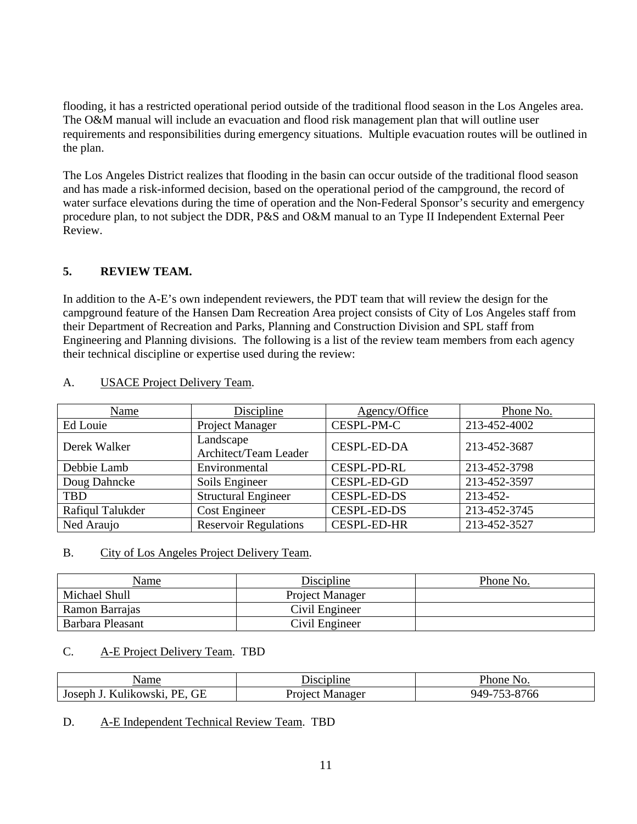flooding, it has a restricted operational period outside of the traditional flood season in the Los Angeles area. The O&M manual will include an evacuation and flood risk management plan that will outline user requirements and responsibilities during emergency situations. Multiple evacuation routes will be outlined in the plan.

The Los Angeles District realizes that flooding in the basin can occur outside of the traditional flood season and has made a risk-informed decision, based on the operational period of the campground, the record of water surface elevations during the time of operation and the Non-Federal Sponsor's security and emergency procedure plan, to not subject the DDR, P&S and O&M manual to an Type II Independent External Peer Review.

## **5. REVIEW TEAM.**

In addition to the A-E's own independent reviewers, the PDT team that will review the design for the campground feature of the Hansen Dam Recreation Area project consists of City of Los Angeles staff from their Department of Recreation and Parks, Planning and Construction Division and SPL staff from Engineering and Planning divisions. The following is a list of the review team members from each agency their technical discipline or expertise used during the review:

| <b>Name</b>      | <b>Discipline</b>                  | Agency/Office      | Phone No.    |
|------------------|------------------------------------|--------------------|--------------|
| Ed Louie         | <b>Project Manager</b>             | CESPL-PM-C         | 213-452-4002 |
| Derek Walker     | Landscape<br>Architect/Team Leader | <b>CESPL-ED-DA</b> | 213-452-3687 |
| Debbie Lamb      | Environmental                      | <b>CESPL-PD-RL</b> | 213-452-3798 |
| Doug Dahncke     | Soils Engineer                     | <b>CESPL-ED-GD</b> | 213-452-3597 |
| <b>TBD</b>       | <b>Structural Engineer</b>         | <b>CESPL-ED-DS</b> | 213-452-     |
| Rafiqul Talukder | Cost Engineer                      | <b>CESPL-ED-DS</b> | 213-452-3745 |
| Ned Araujo       | <b>Reservoir Regulations</b>       | <b>CESPL-ED-HR</b> | 213-452-3527 |

#### A. USACE Project Delivery Team.

### B. City of Los Angeles Project Delivery Team.

| <u>Name</u>      | Discipline      | Phone No. |
|------------------|-----------------|-----------|
| Michael Shull    | Project Manager |           |
| Ramon Barrajas   | Civil Engineer  |           |
| Barbara Pleasant | Civil Engineer  |           |

### C. A-E Project Delivery Team. TBD

| Name                      | Discipline | $\frac{\nu_{\text{home}}}{\nu_{\text{other}}}$<br>NO. |
|---------------------------|------------|-------------------------------------------------------|
| Joseph J. Kulikowski, PE, | Manager    | -753-8766                                             |
| <b>GE</b>                 | Proiect    | $949-$                                                |

D. A-E Independent Technical Review Team. TBD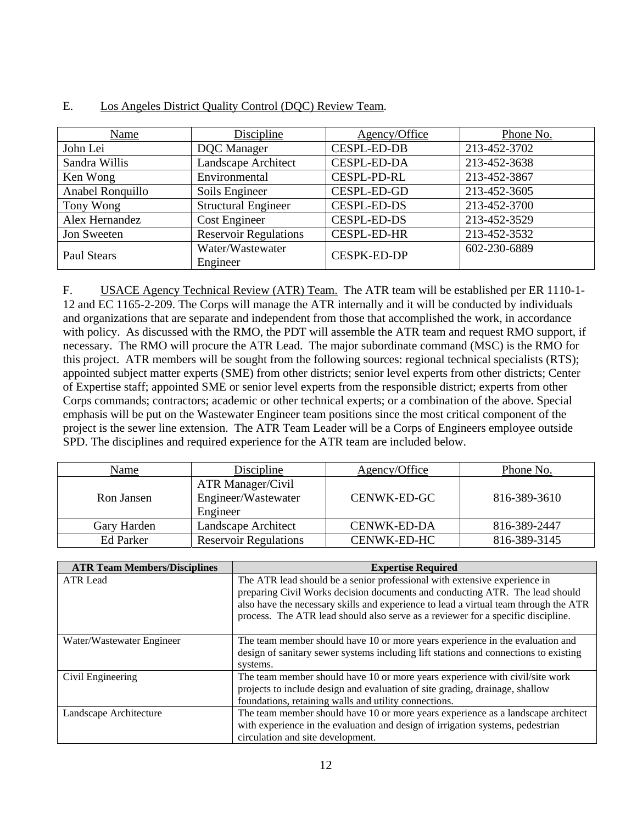| Name             | Discipline                   | Agency/Office      | Phone No.    |
|------------------|------------------------------|--------------------|--------------|
| John Lei         | <b>DQC</b> Manager           | <b>CESPL-ED-DB</b> | 213-452-3702 |
| Sandra Willis    | Landscape Architect          | <b>CESPL-ED-DA</b> | 213-452-3638 |
| Ken Wong         | Environmental                | <b>CESPL-PD-RL</b> | 213-452-3867 |
| Anabel Ronquillo | Soils Engineer               | <b>CESPL-ED-GD</b> | 213-452-3605 |
| Tony Wong        | <b>Structural Engineer</b>   | <b>CESPL-ED-DS</b> | 213-452-3700 |
| Alex Hernandez   | Cost Engineer                | <b>CESPL-ED-DS</b> | 213-452-3529 |
| Jon Sweeten      | <b>Reservoir Regulations</b> | <b>CESPL-ED-HR</b> | 213-452-3532 |
| Paul Stears      | Water/Wastewater<br>Engineer | <b>CESPK-ED-DP</b> | 602-230-6889 |

#### E. Los Angeles District Quality Control (DQC) Review Team.

F. USACE Agency Technical Review (ATR) Team. The ATR team will be established per ER 1110-1- 12 and EC 1165-2-209. The Corps will manage the ATR internally and it will be conducted by individuals and organizations that are separate and independent from those that accomplished the work, in accordance with policy. As discussed with the RMO, the PDT will assemble the ATR team and request RMO support, if necessary. The RMO will procure the ATR Lead. The major subordinate command (MSC) is the RMO for this project. ATR members will be sought from the following sources: regional technical specialists (RTS); appointed subject matter experts (SME) from other districts; senior level experts from other districts; Center of Expertise staff; appointed SME or senior level experts from the responsible district; experts from other Corps commands; contractors; academic or other technical experts; or a combination of the above. Special emphasis will be put on the Wastewater Engineer team positions since the most critical component of the project is the sewer line extension. The ATR Team Leader will be a Corps of Engineers employee outside SPD. The disciplines and required experience for the ATR team are included below.

| Name             | Discipline                                                  | Agency/Office      | Phone No.    |
|------------------|-------------------------------------------------------------|--------------------|--------------|
| Ron Jansen       | <b>ATR Manager/Civil</b><br>Engineer/Wastewater<br>Engineer | CENWK-ED-GC        | 816-389-3610 |
| Gary Harden      | Landscape Architect                                         | <b>CENWK-ED-DA</b> | 816-389-2447 |
| <b>Ed Parker</b> | <b>Reservoir Regulations</b>                                | CENWK-ED-HC        | 816-389-3145 |

| <b>ATR Team Members/Disciplines</b> | <b>Expertise Required</b>                                                            |
|-------------------------------------|--------------------------------------------------------------------------------------|
| <b>ATR</b> Lead                     | The ATR lead should be a senior professional with extensive experience in            |
|                                     | preparing Civil Works decision documents and conducting ATR. The lead should         |
|                                     | also have the necessary skills and experience to lead a virtual team through the ATR |
|                                     | process. The ATR lead should also serve as a reviewer for a specific discipline.     |
|                                     |                                                                                      |
| Water/Wastewater Engineer           | The team member should have 10 or more years experience in the evaluation and        |
|                                     | design of sanitary sewer systems including lift stations and connections to existing |
|                                     | systems.                                                                             |
| Civil Engineering                   | The team member should have 10 or more years experience with civil/site work         |
|                                     | projects to include design and evaluation of site grading, drainage, shallow         |
|                                     | foundations, retaining walls and utility connections.                                |
| Landscape Architecture              | The team member should have 10 or more years experience as a landscape architect     |
|                                     | with experience in the evaluation and design of irrigation systems, pedestrian       |
|                                     | circulation and site development.                                                    |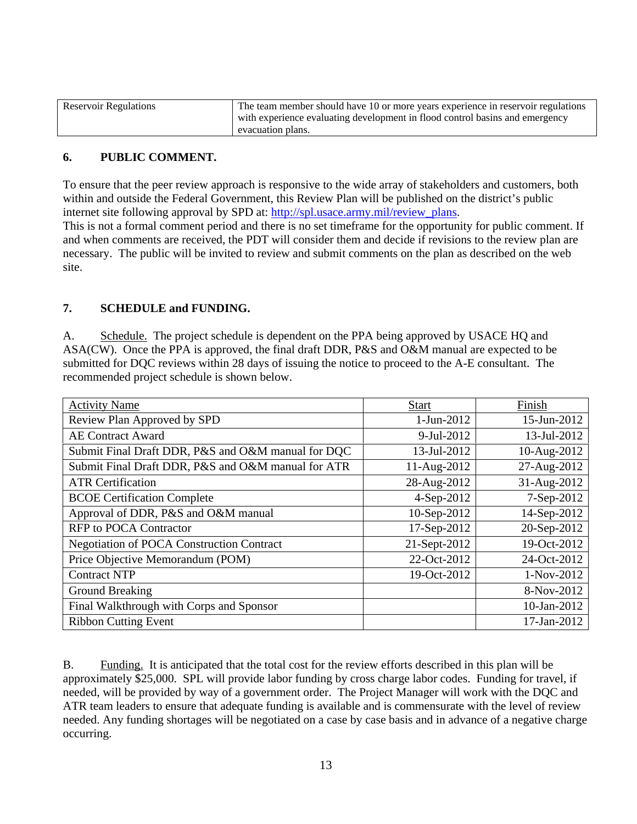| <b>Reservoir Regulations</b> | The team member should have 10 or more years experience in reservoir regulations |
|------------------------------|----------------------------------------------------------------------------------|
|                              | with experience evaluating development in flood control basins and emergency     |
|                              | evacuation plans.                                                                |

## **6. PUBLIC COMMENT.**

To ensure that the peer review approach is responsive to the wide array of stakeholders and customers, both within and outside the Federal Government, this Review Plan will be published on the district's public internet site following approval by SPD at: http://spl.usace.army.mil/review\_plans.

This is not a formal comment period and there is no set timeframe for the opportunity for public comment. If and when comments are received, the PDT will consider them and decide if revisions to the review plan are necessary. The public will be invited to review and submit comments on the plan as described on the web site.

### **7. SCHEDULE and FUNDING.**

A. Schedule. The project schedule is dependent on the PPA being approved by USACE HQ and ASA(CW). Once the PPA is approved, the final draft DDR, P&S and O&M manual are expected to be submitted for DQC reviews within 28 days of issuing the notice to proceed to the A-E consultant. The recommended project schedule is shown below.

| <b>Activity Name</b>                               | <b>Start</b> | Finish      |
|----------------------------------------------------|--------------|-------------|
| Review Plan Approved by SPD                        | 1-Jun-2012   | 15-Jun-2012 |
| <b>AE Contract Award</b>                           | 9-Jul-2012   | 13-Jul-2012 |
| Submit Final Draft DDR, P&S and O&M manual for DQC | 13-Jul-2012  | 10-Aug-2012 |
| Submit Final Draft DDR, P&S and O&M manual for ATR | 11-Aug-2012  | 27-Aug-2012 |
| <b>ATR Certification</b>                           | 28-Aug-2012  | 31-Aug-2012 |
| <b>BCOE Certification Complete</b>                 | 4-Sep-2012   | 7-Sep-2012  |
| Approval of DDR, P&S and O&M manual                | 10-Sep-2012  | 14-Sep-2012 |
| <b>RFP</b> to POCA Contractor                      | 17-Sep-2012  | 20-Sep-2012 |
| <b>Negotiation of POCA Construction Contract</b>   | 21-Sept-2012 | 19-Oct-2012 |
| Price Objective Memorandum (POM)                   | 22-Oct-2012  | 24-Oct-2012 |
| <b>Contract NTP</b>                                | 19-Oct-2012  | 1-Nov-2012  |
| <b>Ground Breaking</b>                             |              | 8-Nov-2012  |
| Final Walkthrough with Corps and Sponsor           |              | 10-Jan-2012 |
| <b>Ribbon Cutting Event</b>                        |              | 17-Jan-2012 |

B. Funding. It is anticipated that the total cost for the review efforts described in this plan will be approximately \$25,000. SPL will provide labor funding by cross charge labor codes. Funding for travel, if needed, will be provided by way of a government order. The Project Manager will work with the DQC and ATR team leaders to ensure that adequate funding is available and is commensurate with the level of review needed. Any funding shortages will be negotiated on a case by case basis and in advance of a negative charge occurring.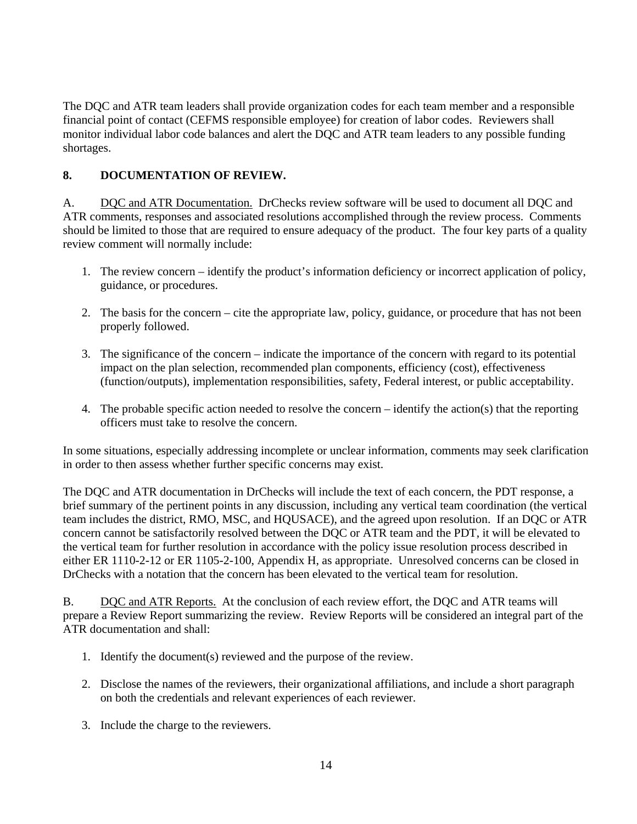The DQC and ATR team leaders shall provide organization codes for each team member and a responsible financial point of contact (CEFMS responsible employee) for creation of labor codes. Reviewers shall monitor individual labor code balances and alert the DQC and ATR team leaders to any possible funding shortages.

## **8. DOCUMENTATION OF REVIEW.**

A. DQC and ATR Documentation. DrChecks review software will be used to document all DQC and ATR comments, responses and associated resolutions accomplished through the review process. Comments should be limited to those that are required to ensure adequacy of the product. The four key parts of a quality review comment will normally include:

- 1. The review concern identify the product's information deficiency or incorrect application of policy, guidance, or procedures.
- 2. The basis for the concern cite the appropriate law, policy, guidance, or procedure that has not been properly followed.
- 3. The significance of the concern indicate the importance of the concern with regard to its potential impact on the plan selection, recommended plan components, efficiency (cost), effectiveness (function/outputs), implementation responsibilities, safety, Federal interest, or public acceptability.
- 4. The probable specific action needed to resolve the concern identify the action(s) that the reporting officers must take to resolve the concern.

In some situations, especially addressing incomplete or unclear information, comments may seek clarification in order to then assess whether further specific concerns may exist.

The DQC and ATR documentation in DrChecks will include the text of each concern, the PDT response, a brief summary of the pertinent points in any discussion, including any vertical team coordination (the vertical team includes the district, RMO, MSC, and HQUSACE), and the agreed upon resolution. If an DQC or ATR concern cannot be satisfactorily resolved between the DQC or ATR team and the PDT, it will be elevated to the vertical team for further resolution in accordance with the policy issue resolution process described in either ER 1110-2-12 or ER 1105-2-100, Appendix H, as appropriate. Unresolved concerns can be closed in DrChecks with a notation that the concern has been elevated to the vertical team for resolution.

B. DQC and ATR Reports. At the conclusion of each review effort, the DQC and ATR teams will prepare a Review Report summarizing the review. Review Reports will be considered an integral part of the ATR documentation and shall:

- 1. Identify the document(s) reviewed and the purpose of the review.
- 2. Disclose the names of the reviewers, their organizational affiliations, and include a short paragraph on both the credentials and relevant experiences of each reviewer.
- 3. Include the charge to the reviewers.